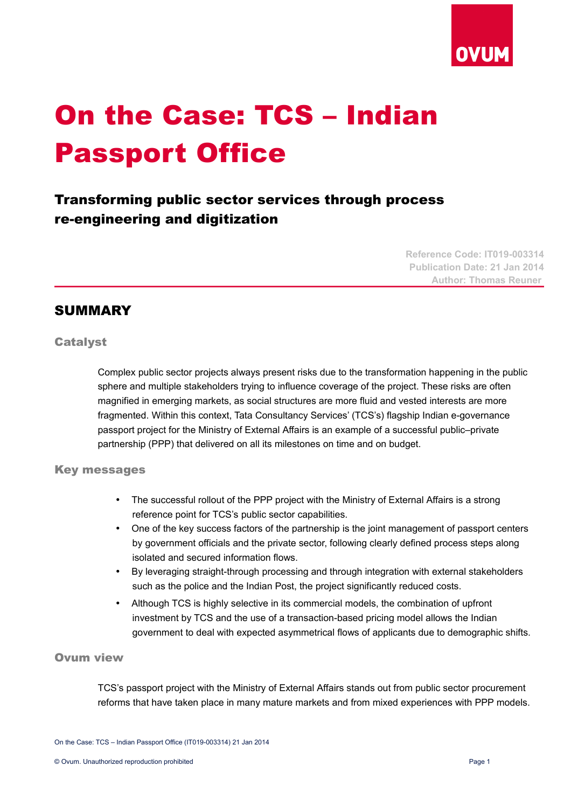

# On the Case: TCS – Indian Passport Office

# Transforming public sector services through process re-engineering and digitization

**Reference Code: IT019-003314 Publication Date: 21 Jan 2014 Author: Thomas Reuner** 

# SUMMARY

## **Catalyst**

Complex public sector projects always present risks due to the transformation happening in the public sphere and multiple stakeholders trying to influence coverage of the project. These risks are often magnified in emerging markets, as social structures are more fluid and vested interests are more fragmented. Within this context, Tata Consultancy Services' (TCS's) flagship Indian e-governance passport project for the Ministry of External Affairs is an example of a successful public–private partnership (PPP) that delivered on all its milestones on time and on budget.

#### Key messages

- The successful rollout of the PPP project with the Ministry of External Affairs is a strong reference point for TCS's public sector capabilities.
- One of the key success factors of the partnership is the joint management of passport centers by government officials and the private sector, following clearly defined process steps along isolated and secured information flows.
- By leveraging straight-through processing and through integration with external stakeholders such as the police and the Indian Post, the project significantly reduced costs.
- Although TCS is highly selective in its commercial models, the combination of upfront investment by TCS and the use of a transaction-based pricing model allows the Indian government to deal with expected asymmetrical flows of applicants due to demographic shifts.

# Ovum view

TCS's passport project with the Ministry of External Affairs stands out from public sector procurement reforms that have taken place in many mature markets and from mixed experiences with PPP models.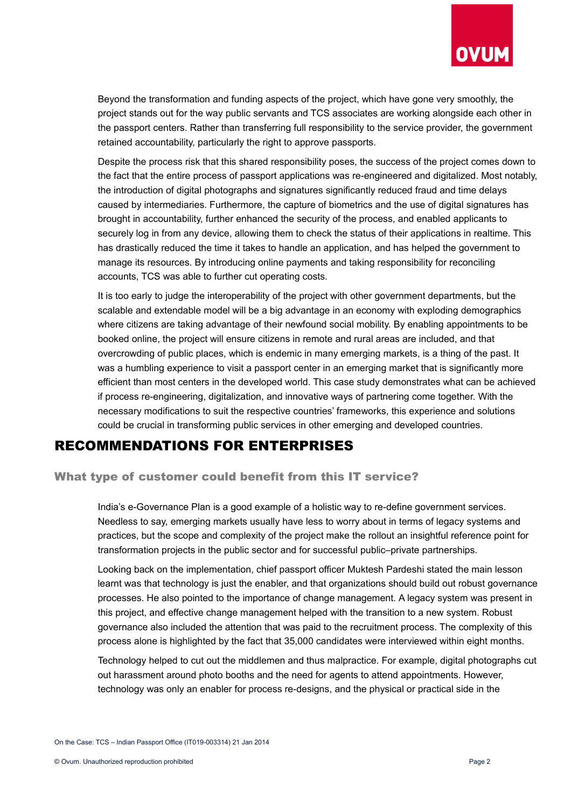

Beyond the transformation and funding aspects of the project, which have gone very smoothly, the project stands out for the way public servants and TCS associates are working alongside each other in the passport centers. Rather than transferring full responsibility to the service provider, the government retained accountability, particularly the right to approve passports.

Despite the process risk that this shared responsibility poses, the success of the project comes down to the fact that the entire process of passport applications was re-engineered and digitalized. Most notably, the introduction of digital photographs and signatures significantly reduced fraud and time delays caused by intermediaries. Furthermore, the capture of biometrics and the use of digital signatures has brought in accountability, further enhanced the security of the process, and enabled applicants to securely log in from any device, allowing them to check the status of their applications in realtime. This has drastically reduced the time it takes to handle an application, and has helped the government to manage its resources. By introducing online payments and taking responsibility for reconciling accounts, TCS was able to further cut operating costs.

It is too early to judge the interoperability of the project with other government departments, but the scalable and extendable model will be a big advantage in an economy with exploding demographics where citizens are taking advantage of their newfound social mobility. By enabling appointments to be booked online, the project will ensure citizens in remote and rural areas are included, and that overcrowding of public places, which is endemic in many emerging markets, is a thing of the past. It was a humbling experience to visit a passport center in an emerging market that is significantly more efficient than most centers in the developed world. This case study demonstrates what can be achieved if process re-engineering, digitalization, and innovative ways of partnering come together. With the necessary modifications to suit the respective countries' frameworks, this experience and solutions could be crucial in transforming public services in other emerging and developed countries.

# RECOMMENDATIONS FOR ENTERPRISES

# What type of customer could benefit from this IT service?

India's e-Governance Plan is a good example of a holistic way to re-define government services. Needless to say, emerging markets usually have less to worry about in terms of legacy systems and practices, but the scope and complexity of the project make the rollout an insightful reference point for transformation projects in the public sector and for successful public–private partnerships.

Looking back on the implementation, chief passport officer Muktesh Pardeshi stated the main lesson learnt was that technology is just the enabler, and that organizations should build out robust governance processes. He also pointed to the importance of change management. A legacy system was present in this project, and effective change management helped with the transition to a new system. Robust governance also included the attention that was paid to the recruitment process. The complexity of this process alone is highlighted by the fact that 35,000 candidates were interviewed within eight months.

Technology helped to cut out the middlemen and thus malpractice. For example, digital photographs cut out harassment around photo booths and the need for agents to attend appointments. However, technology was only an enabler for process re-designs, and the physical or practical side in the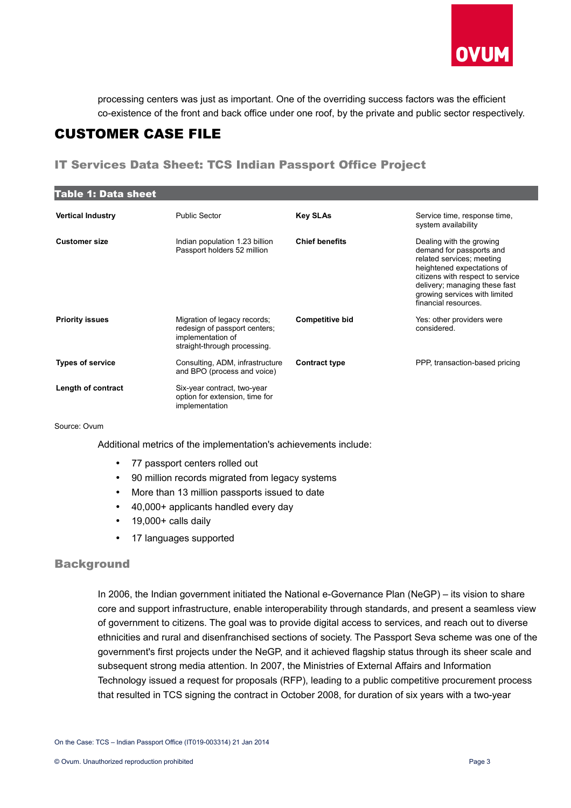

processing centers was just as important. One of the overriding success factors was the efficient co-existence of the front and back office under one roof, by the private and public sector respectively.

# CUSTOMER CASE FILE

# IT Services Data Sheet: TCS Indian Passport Office Project

| <b>Table 1: Data sheet</b> |                                                                                                                    |                        |                                                                                                                                                                                                                                               |  |
|----------------------------|--------------------------------------------------------------------------------------------------------------------|------------------------|-----------------------------------------------------------------------------------------------------------------------------------------------------------------------------------------------------------------------------------------------|--|
| <b>Vertical Industry</b>   | <b>Public Sector</b>                                                                                               | <b>Key SLAs</b>        | Service time, response time,<br>system availability                                                                                                                                                                                           |  |
| <b>Customer size</b>       | Indian population 1.23 billion<br>Passport holders 52 million                                                      | <b>Chief benefits</b>  | Dealing with the growing<br>demand for passports and<br>related services; meeting<br>heightened expectations of<br>citizens with respect to service<br>delivery; managing these fast<br>growing services with limited<br>financial resources. |  |
| <b>Priority issues</b>     | Migration of legacy records;<br>redesign of passport centers;<br>implementation of<br>straight-through processing. | <b>Competitive bid</b> | Yes: other providers were<br>considered.                                                                                                                                                                                                      |  |
| <b>Types of service</b>    | Consulting, ADM, infrastructure<br>and BPO (process and voice)                                                     | <b>Contract type</b>   | PPP, transaction-based pricing                                                                                                                                                                                                                |  |
| Length of contract         | Six-year contract, two-year<br>option for extension, time for<br>implementation                                    |                        |                                                                                                                                                                                                                                               |  |

Source: Ovum

Additional metrics of the implementation's achievements include:

- 77 passport centers rolled out
- 90 million records migrated from legacy systems
- More than 13 million passports issued to date
- 40,000+ applicants handled every day
- 19,000+ calls daily
- 17 languages supported

# **Background**

In 2006, the Indian government initiated the National e-Governance Plan (NeGP) – its vision to share core and support infrastructure, enable interoperability through standards, and present a seamless view of government to citizens. The goal was to provide digital access to services, and reach out to diverse ethnicities and rural and disenfranchised sections of society. The Passport Seva scheme was one of the government's first projects under the NeGP, and it achieved flagship status through its sheer scale and subsequent strong media attention. In 2007, the Ministries of External Affairs and Information Technology issued a request for proposals (RFP), leading to a public competitive procurement process that resulted in TCS signing the contract in October 2008, for duration of six years with a two-year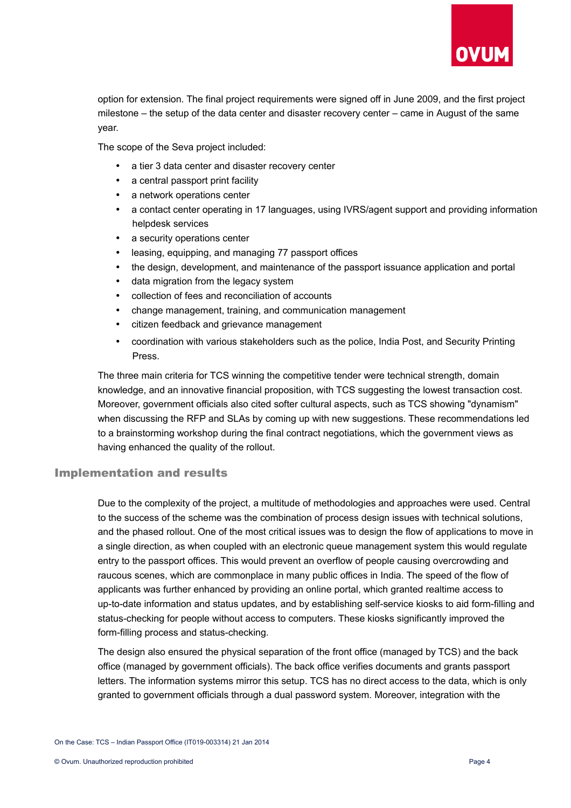

option for extension. The final project requirements were signed off in June 2009, and the first project milestone – the setup of the data center and disaster recovery center – came in August of the same year.

The scope of the Seva project included:

- a tier 3 data center and disaster recovery center
- a central passport print facility
- a network operations center
- a contact center operating in 17 languages, using IVRS/agent support and providing information helpdesk services
- a security operations center
- leasing, equipping, and managing 77 passport offices
- the design, development, and maintenance of the passport issuance application and portal
- data migration from the legacy system
- collection of fees and reconciliation of accounts
- change management, training, and communication management
- citizen feedback and grievance management
- coordination with various stakeholders such as the police, India Post, and Security Printing Press.

The three main criteria for TCS winning the competitive tender were technical strength, domain knowledge, and an innovative financial proposition, with TCS suggesting the lowest transaction cost. Moreover, government officials also cited softer cultural aspects, such as TCS showing "dynamism" when discussing the RFP and SLAs by coming up with new suggestions. These recommendations led to a brainstorming workshop during the final contract negotiations, which the government views as having enhanced the quality of the rollout.

#### Implementation and results

Due to the complexity of the project, a multitude of methodologies and approaches were used. Central to the success of the scheme was the combination of process design issues with technical solutions, and the phased rollout. One of the most critical issues was to design the flow of applications to move in a single direction, as when coupled with an electronic queue management system this would regulate entry to the passport offices. This would prevent an overflow of people causing overcrowding and raucous scenes, which are commonplace in many public offices in India. The speed of the flow of applicants was further enhanced by providing an online portal, which granted realtime access to up-to-date information and status updates, and by establishing self-service kiosks to aid form-filling and status-checking for people without access to computers. These kiosks significantly improved the form-filling process and status-checking.

The design also ensured the physical separation of the front office (managed by TCS) and the back office (managed by government officials). The back office verifies documents and grants passport letters. The information systems mirror this setup. TCS has no direct access to the data, which is only granted to government officials through a dual password system. Moreover, integration with the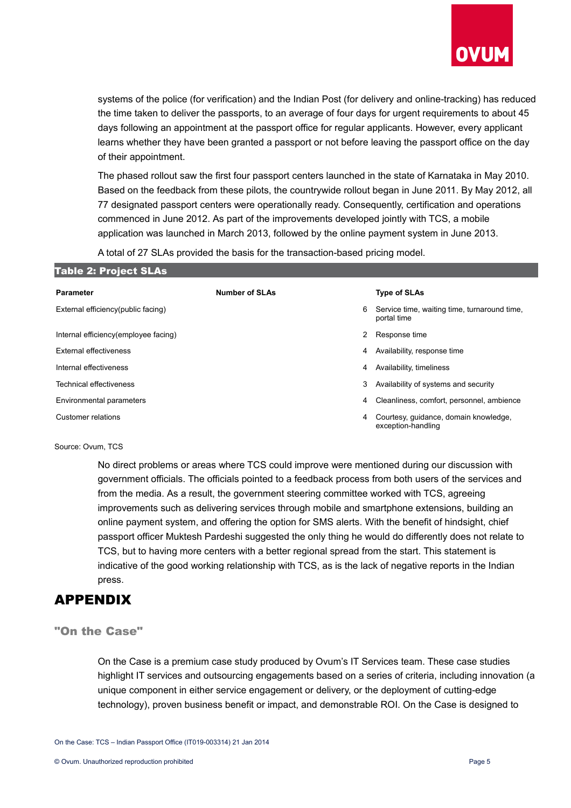

systems of the police (for verification) and the Indian Post (for delivery and online-tracking) has reduced the time taken to deliver the passports, to an average of four days for urgent requirements to about 45 days following an appointment at the passport office for regular applicants. However, every applicant learns whether they have been granted a passport or not before leaving the passport office on the day of their appointment.

The phased rollout saw the first four passport centers launched in the state of Karnataka in May 2010. Based on the feedback from these pilots, the countrywide rollout began in June 2011. By May 2012, all 77 designated passport centers were operationally ready. Consequently, certification and operations commenced in June 2012. As part of the improvements developed jointly with TCS, a mobile application was launched in March 2013, followed by the online payment system in June 2013.

A total of 27 SLAs provided the basis for the transaction-based pricing model.

| <b>Table 2: Project SLAs</b>         |                       |   |                                                             |
|--------------------------------------|-----------------------|---|-------------------------------------------------------------|
| <b>Parameter</b>                     | <b>Number of SLAs</b> |   | <b>Type of SLAs</b>                                         |
| External efficiency(public facing)   |                       | 6 | Service time, waiting time, turnaround time,<br>portal time |
| Internal efficiency(employee facing) |                       | 2 | Response time                                               |
| <b>External effectiveness</b>        |                       | 4 | Availability, response time                                 |
| Internal effectiveness               |                       | 4 | Availability, timeliness                                    |
| Technical effectiveness              |                       | 3 | Availability of systems and security                        |
| Environmental parameters             |                       | 4 | Cleanliness, comfort, personnel, ambience                   |
| Customer relations                   |                       | 4 | Courtesy, guidance, domain knowledge,<br>exception-handling |

#### Source: Ovum, TCS

No direct problems or areas where TCS could improve were mentioned during our discussion with government officials. The officials pointed to a feedback process from both users of the services and from the media. As a result, the government steering committee worked with TCS, agreeing improvements such as delivering services through mobile and smartphone extensions, building an online payment system, and offering the option for SMS alerts. With the benefit of hindsight, chief passport officer Muktesh Pardeshi suggested the only thing he would do differently does not relate to TCS, but to having more centers with a better regional spread from the start. This statement is indicative of the good working relationship with TCS, as is the lack of negative reports in the Indian press.

# APPENDIX

#### "On the Case"

On the Case is a premium case study produced by Ovum's IT Services team. These case studies highlight IT services and outsourcing engagements based on a series of criteria, including innovation (a unique component in either service engagement or delivery, or the deployment of cutting-edge technology), proven business benefit or impact, and demonstrable ROI. On the Case is designed to